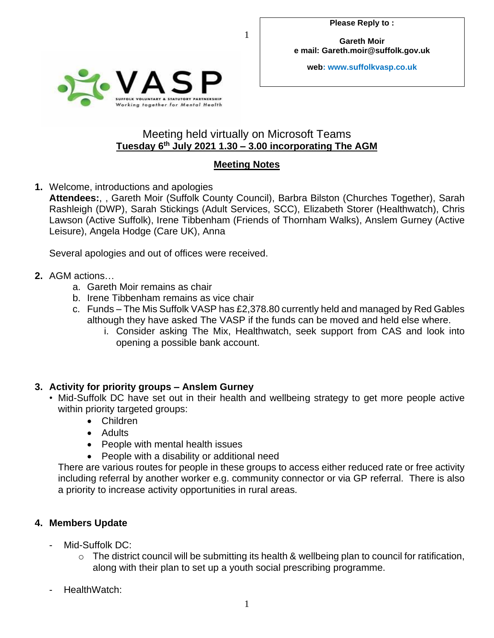**Gareth Moir e mail: Gareth.moir@suffolk.gov.uk**

**web: www.suffolkvasp.co.uk**



#### Meeting held virtually on Microsoft Teams **Tuesday 6 th July 2021 1.30 – 3.00 incorporating The AGM**

1

## **Meeting Notes**

**1.** Welcome, introductions and apologies

**Attendees:**, , Gareth Moir (Suffolk County Council), Barbra Bilston (Churches Together), Sarah Rashleigh (DWP), Sarah Stickings (Adult Services, SCC), Elizabeth Storer (Healthwatch), Chris Lawson (Active Suffolk), Irene Tibbenham (Friends of Thornham Walks), Anslem Gurney (Active Leisure), Angela Hodge (Care UK), Anna

Several apologies and out of offices were received.

### **2.** AGM actions…

- a. Gareth Moir remains as chair
- b. Irene Tibbenham remains as vice chair
- c. Funds The Mis Suffolk VASP has £2,378.80 currently held and managed by Red Gables although they have asked The VASP if the funds can be moved and held else where.
	- i. Consider asking The Mix, Healthwatch, seek support from CAS and look into opening a possible bank account.

### **3. Activity for priority groups – Anslem Gurney**

- Mid-Suffolk DC have set out in their health and wellbeing strategy to get more people active within priority targeted groups:
	- Children
	- Adults
	- People with mental health issues
	- People with a disability or additional need

There are various routes for people in these groups to access either reduced rate or free activity including referral by another worker e.g. community connector or via GP referral. There is also a priority to increase activity opportunities in rural areas.

### **4. Members Update**

- Mid-Suffolk DC:
	- $\circ$  The district council will be submitting its health & wellbeing plan to council for ratification, along with their plan to set up a youth social prescribing programme.
- HealthWatch: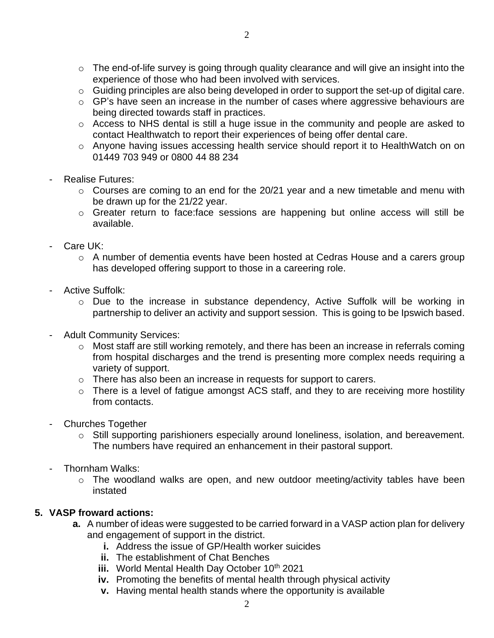- o The end-of-life survey is going through quality clearance and will give an insight into the experience of those who had been involved with services.
- $\circ$  Guiding principles are also being developed in order to support the set-up of digital care.
- o GP's have seen an increase in the number of cases where aggressive behaviours are being directed towards staff in practices.
- o Access to NHS dental is still a huge issue in the community and people are asked to contact Healthwatch to report their experiences of being offer dental care.
- o Anyone having issues accessing health service should report it to HealthWatch on on 01449 703 949 or 0800 44 88 234
- Realise Futures:
	- o Courses are coming to an end for the 20/21 year and a new timetable and menu with be drawn up for the 21/22 year.
	- o Greater return to face:face sessions are happening but online access will still be available.
- Care UK:
	- o A number of dementia events have been hosted at Cedras House and a carers group has developed offering support to those in a careering role.
- Active Suffolk:
	- o Due to the increase in substance dependency, Active Suffolk will be working in partnership to deliver an activity and support session. This is going to be Ipswich based.
- Adult Community Services:
	- o Most staff are still working remotely, and there has been an increase in referrals coming from hospital discharges and the trend is presenting more complex needs requiring a variety of support.
	- o There has also been an increase in requests for support to carers.
	- o There is a level of fatigue amongst ACS staff, and they to are receiving more hostility from contacts.
- Churches Together
	- o Still supporting parishioners especially around loneliness, isolation, and bereavement. The numbers have required an enhancement in their pastoral support.
- Thornham Walks:
	- o The woodland walks are open, and new outdoor meeting/activity tables have been instated

#### **5. VASP froward actions:**

- **a.** A number of ideas were suggested to be carried forward in a VASP action plan for delivery and engagement of support in the district.
	- **i.** Address the issue of GP/Health worker suicides
	- **ii.** The establishment of Chat Benches
	- **iii.** World Mental Health Day October 10<sup>th</sup> 2021
	- **iv.** Promoting the benefits of mental health through physical activity
	- **v.** Having mental health stands where the opportunity is available

2